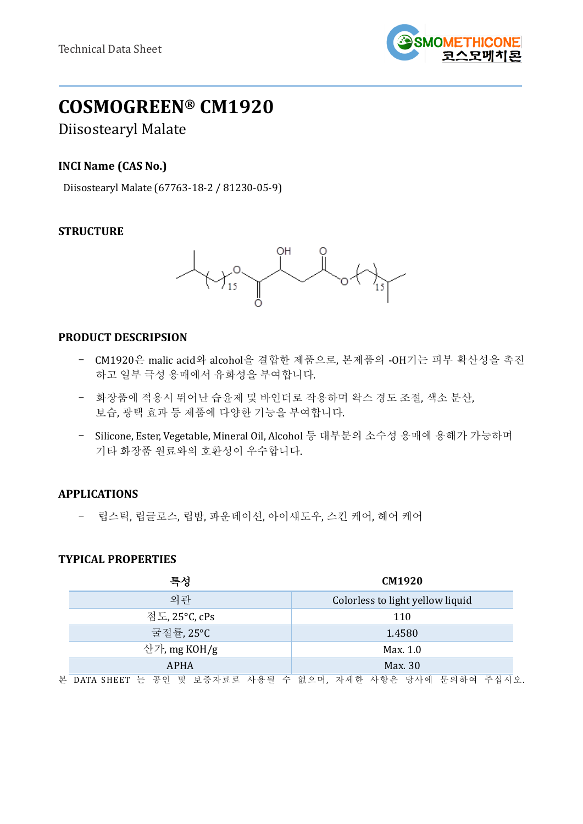

# **COSMOGREEN® CM1920**

## Diisostearyl Malate

## **INCI Name (CAS No.)**

Diisostearyl Malate (67763-18-2 / 81230-05-9)

## **STRUCTURE**



#### **PRODUCT DESCRIPSION**

- CM1920은 malic acid와 alcohol을 결합한 제품으로, 본제품의 -OH기는 피부 확산성을 촉진 하고 일부 극성 용매에서 유화성을 부여합니다.
- 화장품에 적용시 뛰어난 습윤제 및 바인더로 작용하며 왁스 경도 조절, 색소 분산, 보습, 광택 효과 등 제품에 다양한 기능을 부여합니다.
- Silicone, Ester, Vegetable, Mineral Oil, Alcohol 등 대부분의 소수성 용매에 용해가 가능하며 기타 화장품 원료와의 호환성이 우수합니다.

## **APPLICATIONS**

- 립스틱, 립글로스, 립밤, 파운데이션, 아이섀도우, 스킨 케어, 헤어 케어

#### **TYPICAL PROPERTIES**

|                           | 특성           | <b>CM1920</b>                                              |  |
|---------------------------|--------------|------------------------------------------------------------|--|
|                           | 외관           | Colorless to light yellow liquid                           |  |
| 점도, 25°C, cPs<br>굴절률,25°C |              | 110                                                        |  |
|                           |              | 1.4580                                                     |  |
|                           | 산가, mg KOH/g | Max. 1.0                                                   |  |
|                           | <b>APHA</b>  | Max. 30                                                    |  |
|                           |              | 본 DATA SHEET 는 공인 및 보증자료로 사용될 수 없으며, 자세한 사항은 당사에 문의하여 주십시오 |  |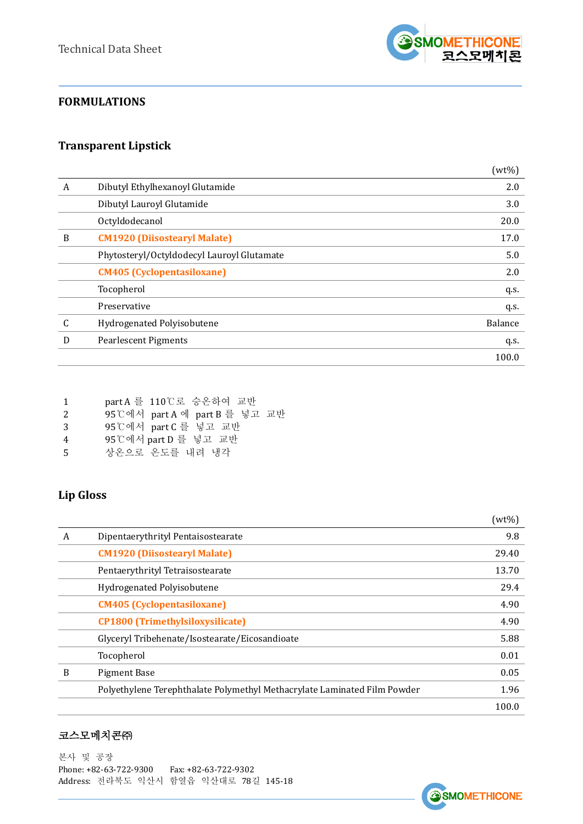

## **FORMULATIONS**

## **Transparent Lipstick**

|   |                                            | $(wt\%)$ |
|---|--------------------------------------------|----------|
| A | Dibutyl Ethylhexanoyl Glutamide            | 2.0      |
|   | Dibutyl Lauroyl Glutamide                  | 3.0      |
|   | Octyldodecanol                             | 20.0     |
| B | <b>CM1920 (Diisostearyl Malate)</b>        | 17.0     |
|   | Phytosteryl/Octyldodecyl Lauroyl Glutamate | 5.0      |
|   | <b>CM405 (Cyclopentasiloxane)</b>          | 2.0      |
|   | Tocopherol                                 | q.s.     |
|   | Preservative                               | q.s.     |
| C | Hydrogenated Polyisobutene                 | Balance  |
| D | <b>Pearlescent Pigments</b>                | q.s.     |
|   |                                            | 100.0    |

|  |  | part A 를 110℃로 승온하여 교반 |  |
|--|--|------------------------|--|
|--|--|------------------------|--|

- 2 95℃에서 part A 에 part B 를 넣고 교반
- 3 95℃에서 part C 를 넣고 교반
- 4 95℃에서 part D 를 넣고 교반
- 5 상온으로 온도를 내려 냉각

## **Lip Gloss**

|   |                                                                          | $(wt\%)$ |
|---|--------------------------------------------------------------------------|----------|
| A | Dipentaerythrityl Pentaisostearate                                       | 9.8      |
|   | <b>CM1920 (Diisostearyl Malate)</b>                                      | 29.40    |
|   | Pentaerythrityl Tetraisostearate                                         | 13.70    |
|   | Hydrogenated Polyisobutene                                               | 29.4     |
|   | <b>CM405 (Cyclopentasiloxane)</b>                                        | 4.90     |
|   | <b>CP1800 (Trimethylsiloxysilicate)</b>                                  | 4.90     |
|   | Glyceryl Tribehenate/Isostearate/Eicosandioate                           | 5.88     |
|   | Tocopherol                                                               | 0.01     |
| B | <b>Pigment Base</b>                                                      | 0.05     |
|   | Polyethylene Terephthalate Polymethyl Methacrylate Laminated Film Powder | 1.96     |
|   |                                                                          | 100.0    |

#### 코스모메치콘㈜

본사 및 공장 Phone: +82-63-722-9300 Fax: +82-63-722-9302 Address: 전라북도 익산시 함열읍 익산대로 78길 145-18

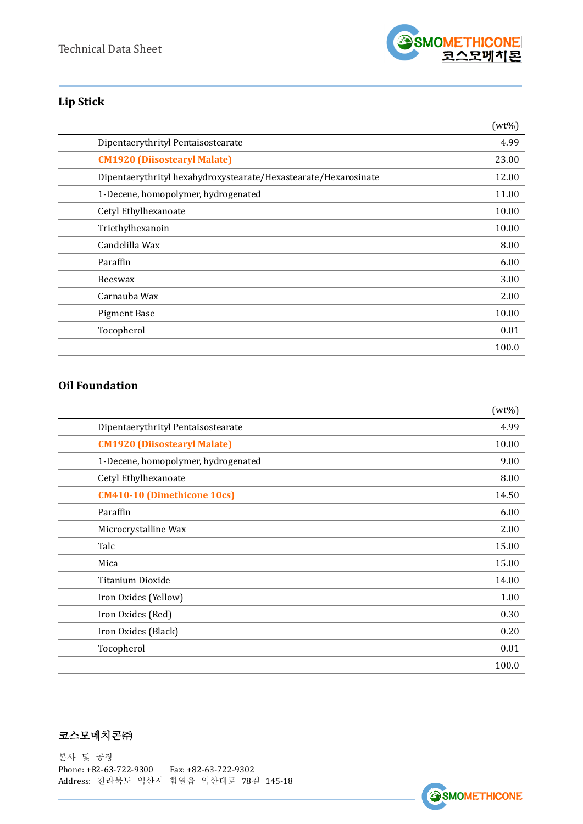

## **Lip Stick**

|                                                                 | $(wt\%)$ |
|-----------------------------------------------------------------|----------|
| Dipentaerythrityl Pentaisostearate                              | 4.99     |
| <b>CM1920 (Diisostearyl Malate)</b>                             | 23.00    |
| Dipentaerythrityl hexahydroxystearate/Hexastearate/Hexarosinate | 12.00    |
| 1-Decene, homopolymer, hydrogenated                             | 11.00    |
| Cetyl Ethylhexanoate                                            | 10.00    |
| Triethylhexanoin                                                | 10.00    |
| Candelilla Wax                                                  | 8.00     |
| Paraffin                                                        | 6.00     |
| Beeswax                                                         | 3.00     |
| Carnauba Wax                                                    | 2.00     |
| <b>Pigment Base</b>                                             | 10.00    |
| Tocopherol                                                      | 0.01     |
|                                                                 | 100.0    |

## **Oil Foundation**

|                                     | $(wt\%)$ |
|-------------------------------------|----------|
| Dipentaerythrityl Pentaisostearate  | 4.99     |
| <b>CM1920 (Diisostearyl Malate)</b> | 10.00    |
| 1-Decene, homopolymer, hydrogenated | 9.00     |
| Cetyl Ethylhexanoate                | 8.00     |
| <b>CM410-10 (Dimethicone 10cs)</b>  | 14.50    |
| Paraffin                            | 6.00     |
| Microcrystalline Wax                | 2.00     |
| Talc                                | 15.00    |
| Mica                                | 15.00    |
| Titanium Dioxide                    | 14.00    |
| Iron Oxides (Yellow)                | 1.00     |
| Iron Oxides (Red)                   | 0.30     |
| Iron Oxides (Black)                 | 0.20     |
| Tocopherol                          | 0.01     |
|                                     | 100.0    |

## 코스모메치콘㈜